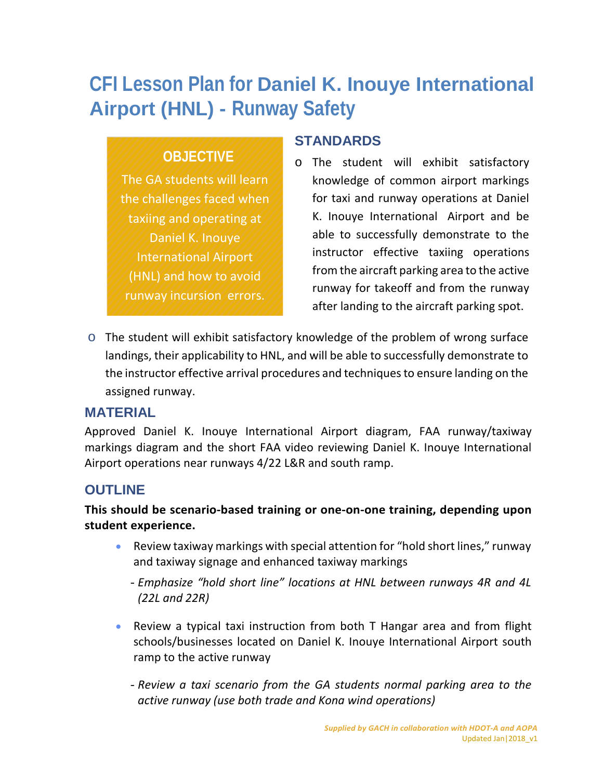# <span id="page-0-0"></span>**CFI Lesson Plan for Daniel K. Inouye International Airport (HNL) - Runway Safety**

# **OBJECTIVE**

The GA students will learn the challenges faced when taxiing and operating at Daniel K. Inouye International Airport (HNL) and how to avoid runway incursion errors.

#### **STANDARDS**

- o The student will exhibit satisfactory knowledge of common airport markings for taxi and runway operations at Daniel K. Inouye International Airport and be able to successfully demonstrate to the instructor effective taxiing operations from the aircraft parking area to the active runway for takeoff and from the runway after landing to the aircraft parking spot.
- $\circ$  The student will exhibit satisfactory knowledge of the problem of wrong surface landings, their applicability to HNL, and will be able to successfully demonstrate to the instructor effective arrival procedures and techniques to ensure landing on the assigned runway.

#### **MATERIAL**

Approved Daniel K. Inouye International Airport diagram, FAA runway/taxiway markings diagram and the short FAA video reviewing Daniel K. Inouye International Airport operations near runways 4/22 L&R and south ramp.

## **OUTLINE**

#### **This should be scenario-based training or one-on-one training, depending upon student experience.**

- Review taxiway markings with special attention for "hold short lines," runway and taxiway signage and enhanced taxiway markings
	- -*Emphasize "hold short line" locations at HNL between runways 4R and 4L (22L and 22R)*
- Review a typical taxi instruction from both T Hangar area and from flight schools/businesses located on Daniel K. Inouye International Airport south ramp to the active runway
	- -*Review a taxi scenario from the GA students normal parking area to the active runway (use both trade and Kona wind operations)*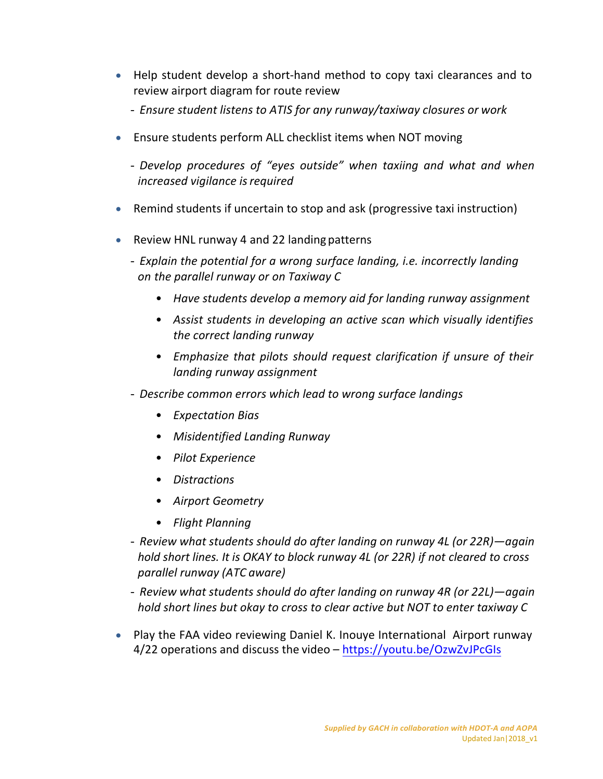- Help student develop a short-hand method to copy taxi clearances and to review airport diagram for route review
	- *Ensure student listens to ATIS for any runway/taxiway closures or work*
- Ensure students perform ALL checklist items when NOT moving
	- *Develop procedures of "eyes outside" when taxiing and what and when increased vigilance isrequired*
- Remind students if uncertain to stop and ask (progressive taxi instruction)
- Review HNL runway 4 and 22 landing patterns
	- *Explain the potential for a wrong surface landing, i.e. incorrectly landing on the parallel runway or on Taxiway C*
		- *Have students develop a memory aid for landing runway assignment*
		- *Assist students in developing an active scan which visually identifies the correct landing runway*
		- *Emphasize that pilots should request clarification if unsure of their landing runway assignment*
	- *Describe common errors which lead to wrong surface landings*
		- *Expectation Bias*
		- *Misidentified Landing Runway*
		- *Pilot Experience*
		- *Distractions*
		- *Airport Geometry*
		- *Flight Planning*
	- *Review what students should do after landing on runway 4L (or 22R)—again hold short lines. It is OKAY to block runway 4L (or 22R) if not cleared to cross parallel runway (ATC aware)*
	- *Review what students should do after landing on runway 4R (or 22L)—again hold short lines but okay to cross to clear active but NOT to enter taxiway C*
- Play the FAA video reviewing Daniel K. Inouye International Airport runway 4/22 operations and discuss the video – https://youtu.be/OzwZvJPcGIs